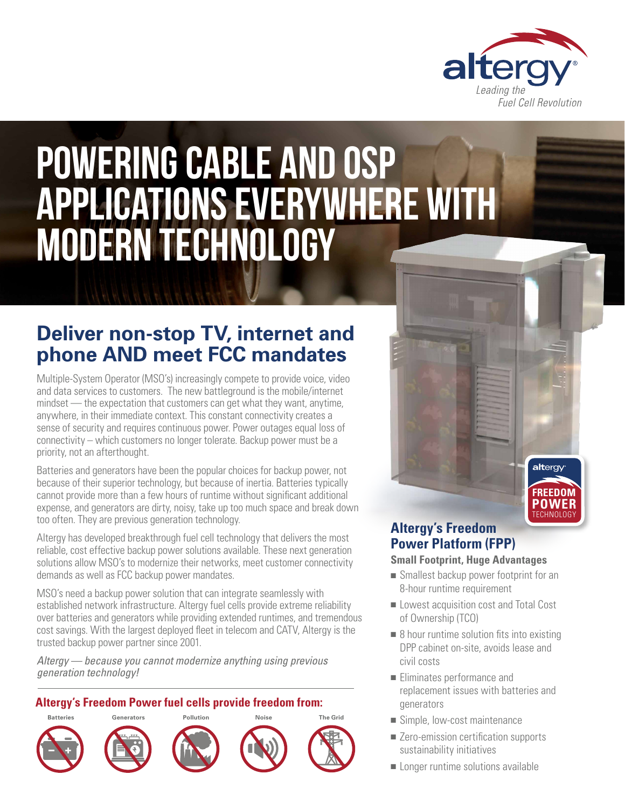

# Powering Cable and OSP applications everywhere with modern technology

# **Deliver non-stop TV, internet and phone AND meet FCC mandates**

Multiple-System Operator (MSO's) increasingly compete to provide voice, video and data services to customers. The new battleground is the mobile/internet mindset — the expectation that customers can get what they want, anytime, anywhere, in their immediate context. This constant connectivity creates a sense of security and requires continuous power. Power outages equal loss of connectivity – which customers no longer tolerate. Backup power must be a priority, not an afterthought.

Batteries and generators have been the popular choices for backup power, not because of their superior technology, but because of inertia. Batteries typically cannot provide more than a few hours of runtime without significant additional expense, and generators are dirty, noisy, take up too much space and break down too often. They are previous generation technology.

Altergy has developed breakthrough fuel cell technology that delivers the most reliable, cost effective backup power solutions available. These next generation solutions allow MSO's to modernize their networks, meet customer connectivity demands as well as FCC backup power mandates.

MSO's need a backup power solution that can integrate seamlessly with established network infrastructure. Altergy fuel cells provide extreme reliability over batteries and generators while providing extended runtimes, and tremendous cost savings. With the largest deployed fleet in telecom and CATV, Altergy is the trusted backup power partner since 2001.

*Altergy — because you cannot modernize anything using previous generation technology!*

### **Altergy's Freedom Power fuel cells provide freedom from:**



## **Altergy's Freedom Power Platform (FPP)**

#### **Small Footprint, Huge Advantages**

 $\blacksquare$  Smallest backup power footprint for an 8-hour runtime requirement

TECHNOLOGY **POWER FREEDOM**

altergy

- **n** Lowest acquisition cost and Total Cost of Ownership (TCO)
- $\blacksquare$  8 hour runtime solution fits into existing DPP cabinet on-site, avoids lease and civil costs
- $\blacksquare$  Eliminates performance and replacement issues with batteries and generators
- Simple, low-cost maintenance
- Zero-emission certification supports sustainability initiatives
- $\blacksquare$  Longer runtime solutions available